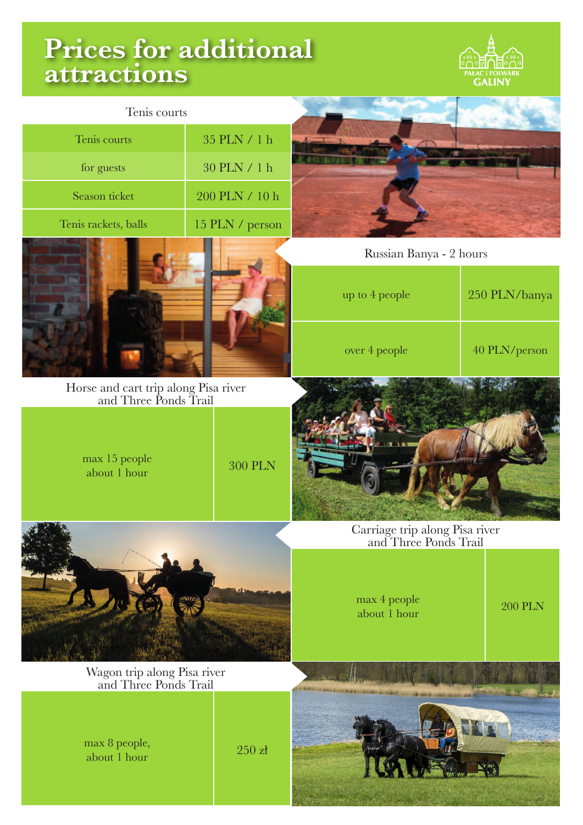## **Prices for additional attractions**



| Tenis courts                                                  |                         |                                                         |                |
|---------------------------------------------------------------|-------------------------|---------------------------------------------------------|----------------|
| Tenis courts                                                  | $35$ PLN $\prime$ 1 h   |                                                         |                |
| for guests                                                    | 30 PLN / 1 h            |                                                         |                |
| Season ticket                                                 | $200$ PLN $\prime$ 10 h |                                                         |                |
| Tenis rackets, balls                                          | 15 PLN / person         |                                                         |                |
|                                                               |                         | Russian Banya - 2 hours                                 |                |
|                                                               |                         | up to 4 people                                          | 250 PLN/banya  |
|                                                               |                         | over 4 people                                           | 40 PLN/person  |
| Horse and cart trip along Pisa river<br>and Three Ponds Trail |                         |                                                         |                |
| max 15 people<br>about 1 hour                                 | <b>300 PLN</b>          | 医心理心脏                                                   |                |
|                                                               |                         | Carriage trip along Pisa river<br>and Three Ponds Trail |                |
|                                                               |                         | max 4 people<br>about 1 hour                            | <b>200 PLN</b> |
| Wagon trip along Pisa river<br>and Three Ponds Trail          |                         |                                                         |                |
| max 8 people,<br>about 1 hour                                 | $250\;\mathrm{z}$       | <b>All Montreal and Allier and Chile</b>                |                |